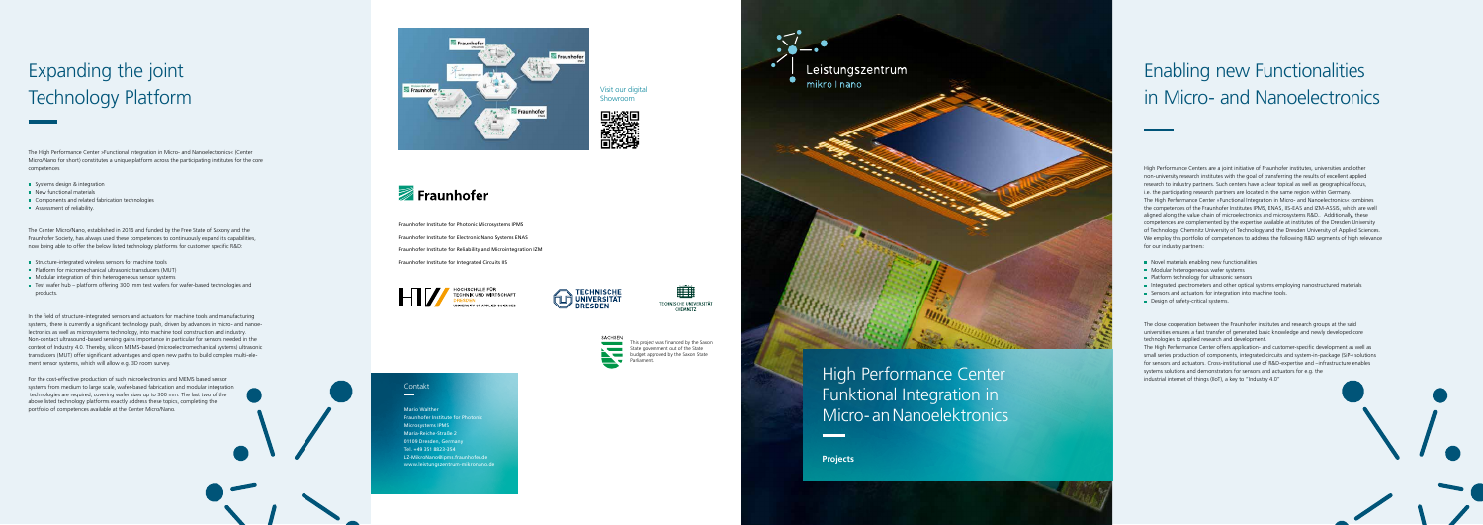Das Leistungszentrum »Funktionsintegration für die Mikro-/Nanoelektronik« (kurz LZ Mikro/

### Contakt  $\sim$

This project was financed by the Saxon State government out of the State **budget approved by the Saxon State** 

Funktion<br>Für die Parformance Canter **Funktional Integration in** High Performance Center Micro- an Nanoelektronics

Leistungs-Ausstranden für der Statten und der Reichstanden für der Statten und der Reichstanden answerenden für

**Projektbeispiele**

# Expanding the joint Technology Platform Technology Platform

The High Performance Center »Functional Integration in Micro- and Nanoelectronics« (Center Micro/Nano for short) constitutes a unique platform across the participating institutes for the core zifisch mit Unternehmen und gesellschaftlichen Akteuren anwendungsnah zusammen, um competences

- Systems design & integration
- New functional materials and Amikro-/Nanoelektronik« vereint Kom-/Nanoelektronik« vereint Kom-/Nanoelektronik
- $\blacksquare$  Components and related fabrication technologies
- $\blacksquare$  Assessment of reliability.  $\blacksquare$

Fraunhofer Society, has always used these competences to continuously expand its capabilities, now being able to offer the below listed technology platforms for customer specific R&D: The Center Micro/Nano, established in 2016 and funded by the Free State of Saxony and the

- **Structure-integrated wireless sensors for machine tools**
- **Platform for micromechanical ultrasonic transducers (MUT)**
- **Modular integration of thin heterogeneous sensor systems**
- Durch die enge Zusammenarbeit zwischen Universitäten bzw. Hochschulen und Fraunhofer-products. ■ Test wafer hub – platform offering 300 mm test wafers for wafer-based technologies and

systems, there is currently a significant technology push, driven by advances in micro- and nanoelectronics as well as microsystems technology, into machine tool construction and industry. Non-contact ultrasound-based sensing gains importance in particular for sensors needed in the context of Industry 4.0. Thereby, silicon MEMS-based (microelectromechanical systems) ultrasonic transducers (MUT) offer significant advantages and open new paths to build complex multi-ele-In the field of structure-integrated sensors and actuators for machine tools and manufacturing ment sensor systems, which will allow e.g. 3D room survey.

# Enabling new Functionalities in Micro- and Nanoele in Micro- and Nanoelectronics

High Performance Centers are a joint initiative of Fraunhofer institutes, universities and other non-university research institutes with the goal of transferring the results of excellent applied i.e. the participating research partners are located in the same region within Germany. The High Performance Center »Functional Integration in Micro- and Nanoelectronics« combines the competences of the Fraunhofer Institutes IPMS, ENAS, IIS-EAS and IZM-ASSIS, which are well aligned along the value chain of microelectronics and microsystems R&D.. Additionally, these of Technology, Chemnitz University of Technology and the Dresden University of Applied Sciences. We employ this portfolio of competences to address the following R&D segments of high relevance for our industry partners: The Integration function  $\mathcal{L}$ research to industry partners. Such centers have a clear topical as well as geographical focus, competences are complemented by the expertise available at institutes of the Dresden University

- Novel materials enabling new functionalities
- Modular heterogeneous wafer systems
- Für den Bereich strukturintegrierte Sensorik in Werkzeugen und Maschinen besteht ein erheb-Platform technology for ultrasonic sensors
- Integrated spectrometers and other optical systems employing nanostructured materials
- Sensors and actuators for integration into machine tools.
- Design of safety-critical systems.

The close cooperation between the Fraunhofer institutes and research groups at the said universities ensures a fast transfer of generated basic knowledge and newly developed core technologies to applied research and development.

small series production of components, integrated circuits and system-in-package (SiP-) solutions for sensors and actuators. Cross-institutional use of R&D-expertise and –infrastructure enables systems solutions and demonstrators for sensors and actuators for e.g. the industrial internet of things (IIoT), a key to "Industry 4.0" The High Performance Center offers application- and customer-specific development as well as

Mario Walther Fraunhofer Institute for Photonic Microsystems IPMS Maria-Reiche-Straße 2 01109 Dresden, Germany Tel. +49 351 8823-354 LZ-MikroNano@ipms.fraunhofer.de www.leistungszentrum-mikronano.de



For the cost-effective production of such microelectronics and MEMS based sensor systems from medium to large scale, wafer-based fabrication and modular integration technologies are required, covering wafer sizes up to 300 mm. The last two of the above listed technology platforms exactly address these topics, completing the portfolio of competences available at the Center Micro/Nano.





Visit our digital Showroom



**TECHNISCHE**  $\hat{\sqcap}$   $\hat{\sqcap}$  universitat **DRESDEN** 



Fraunhofer Institute for Photonic Microsystems IPMS Fraunhofer Institute for Electronic Nano Systems ENAS Fraunhofer Institute for Reliability and Microintegration IZM Fraunhofer Institute for Integrated Circuits IIS



HOCHSCHULE FÜR **FECHNIK UND WIRTSCHAFT RELEV OF APPLIED SCIENCE** 

**Projects**

Leistungszentrum

mikro I nano